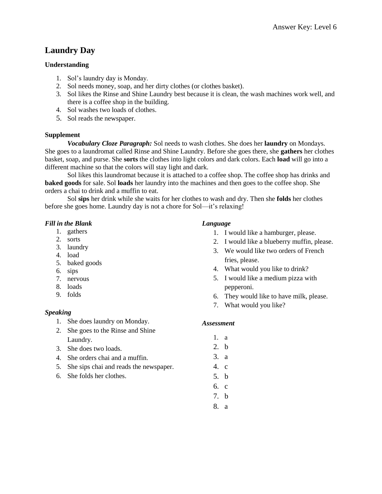# **Laundry Day**

# **Understanding**

- 1. Sol's laundry day is Monday.
- 2. Sol needs money, soap, and her dirty clothes (or clothes basket).
- 3. Sol likes the Rinse and Shine Laundry best because it is clean, the wash machines work well, and there is a coffee shop in the building.
- 4. Sol washes two loads of clothes.
- 5. Sol reads the newspaper.

# **Supplement**

*Vocabulary Cloze Paragraph:* Sol needs to wash clothes. She does her **laundry** on Mondays. She goes to a laundromat called Rinse and Shine Laundry. Before she goes there, she **gathers** her clothes basket, soap, and purse. She **sorts** the clothes into light colors and dark colors. Each **load** will go into a different machine so that the colors will stay light and dark.

Sol likes this laundromat because it is attached to a coffee shop. The coffee shop has drinks and **baked goods** for sale. Sol **loads** her laundry into the machines and then goes to the coffee shop. She orders a chai to drink and a muffin to eat.

Sol **sips** her drink while she waits for her clothes to wash and dry. Then she **folds** her clothes before she goes home. Laundry day is not a chore for Sol—it's relaxing!

# *Fill in the Blank*

- 1. gathers
- 2. sorts
- 3. laundry
- 4. load
- 5. baked goods
- 6. sips
- 7. nervous
- 8. loads
- 9. folds

# *Speaking*

- 1. She does laundry on Monday.
- 2. She goes to the Rinse and Shine Laundry.
- 3. She does two loads.
- 4. She orders chai and a muffin.
- 5. She sips chai and reads the newspaper.
- 6. She folds her clothes.

#### *Language*

- 1. I would like a hamburger, please.
- 2. I would like a blueberry muffin, please.
- 3. We would like two orders of French fries, please.
- 4. What would you like to drink?
- 5. I would like a medium pizza with pepperoni.
- 6. They would like to have milk, please.
- 7. What would you like?

- 1. a
- 2. b
- 3. a
- 4. c
- 5. b
- 6. c
- 7. b
- 8. a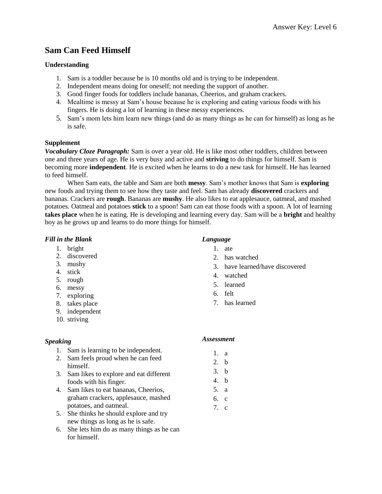# **Sam Can Feed Himself**

# **Understanding**

- 1. Sam is a toddler because he is 10 months old and is trying to be independent.
- 2. Independent means doing for oneself; not needing the support of another.
- 3. Good finger foods for toddlers include bananas, Cheerios, and graham crackers.
- 4. Mealtime is messy at Sam's house because he is exploring and eating various foods with his fingers. He is doing a lot of learning in these messy experiences.
- 5. Sam's mom lets him learn new things (and do as many things as he can for himself) as long as he is safe.

#### **Supplement**

*Vocabulary Cloze Paragraph:* Sam is over a year old. He is like most other toddlers, children between one and three years of age. He is very busy and active and **striving** to do things for himself. Sam is becoming more **independent**. He is excited when he learns to do a new task for himself. He has learned to feed himself.

When Sam eats, the table and Sam are both **messy**. Sam's mother knows that Sam is **exploring** new foods and trying them to see how they taste and feel. Sam has already **discovered** crackers and bananas. Crackers are **rough**. Bananas are **mushy**. He also likes to eat applesauce, oatmeal, and mashed potatoes. Oatmeal and potatoes **stick** to a spoon! Sam can eat those foods with a spoon. A lot of learning **takes place** when he is eating. He is developing and learning every day. Sam will be a **bright** and healthy boy as he grows up and learns to do more things for himself.

#### *Fill in the Blank*

- 1. bright
- 2. discovered
- 3. mushy
- 4. stick
- 5. rough
- 6. messy
- 7. exploring
- 8. takes place
- 9. independent
- 10. striving

# *Speaking*

- 1. Sam is learning to be independent.
- 2. Sam feels proud when he can feed himself.
- 3. Sam likes to explore and eat different foods with his finger.
- 4. Sam likes to eat bananas, Cheerios, graham crackers, applesauce, mashed potatoes, and oatmeal.
- 5. She thinks he should explore and try new things as long as he is safe.
- 6. She lets him do as many things as he can for himself.

# *Language*

- 1. ate
- 2. has watched
- 3. have learned/have discovered
- 4. watched
- 5. learned
- 6. felt
- 7. has learned

- 1. a
- 2. b
- 3. b
- 4. b
- 5. a
- 6. c
- 7. c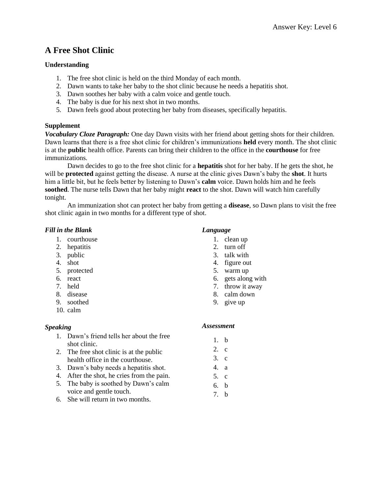# **A Free Shot Clinic**

# **Understanding**

- 1. The free shot clinic is held on the third Monday of each month.
- 2. Dawn wants to take her baby to the shot clinic because he needs a hepatitis shot.
- 3. Dawn soothes her baby with a calm voice and gentle touch.
- 4. The baby is due for his next shot in two months.
- 5. Dawn feels good about protecting her baby from diseases, specifically hepatitis.

# **Supplement**

*Vocabulary Cloze Paragraph:* One day Dawn visits with her friend about getting shots for their children. Dawn learns that there is a free shot clinic for children's immunizations **held** every month. The shot clinic is at the **public** health office. Parents can bring their children to the office in the **courthouse** for free immunizations.

Dawn decides to go to the free shot clinic for a **hepatitis** shot for her baby. If he gets the shot, he will be **protected** against getting the disease. A nurse at the clinic gives Dawn's baby the **shot**. It hurts him a little bit, but he feels better by listening to Dawn's **calm** voice. Dawn holds him and he feels **soothed**. The nurse tells Dawn that her baby might **react** to the shot. Dawn will watch him carefully tonight.

An immunization shot can protect her baby from getting a **disease**, so Dawn plans to visit the free shot clinic again in two months for a different type of shot.

# *Fill in the Blank*

- 1. courthouse
- 2. hepatitis
- 3. public
- 4. shot
- 5. protected
- 6. react
- 7. held
- 8. disease
- 9. soothed
- 10. calm

# *Speaking*

- 1. Dawn's friend tells her about the free shot clinic.
- 2. The free shot clinic is at the public health office in the courthouse.
- 3. Dawn's baby needs a hepatitis shot.
- 4. After the shot, he cries from the pain.
- 5. The baby is soothed by Dawn's calm voice and gentle touch.
- 6. She will return in two months.

#### *Language*

- 1. clean up
- 2. turn off
- 3. talk with
- 4. figure out
- 5. warm up
- 6. gets along with
- 7. throw it away
- 8. calm down
- 9. give up

- 1. b
- 2. c
- 3. c
- 4. a
- 5. c
- 6. b
- 7. b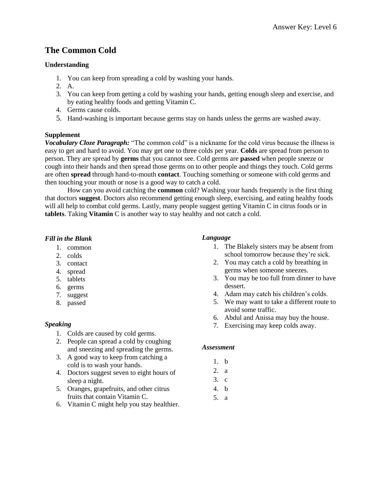# **The Common Cold**

### **Understanding**

- 1. You can keep from spreading a cold by washing your hands.
- 2. A.
- 3. You can keep from getting a cold by washing your hands, getting enough sleep and exercise, and by eating healthy foods and getting Vitamin C.
- 4. Germs cause colds.
- 5. Hand-washing is important because germs stay on hands unless the germs are washed away.

#### **Supplement**

*Vocabulary Cloze Paragraph:* "The common cold" is a nickname for the cold virus because the illness is easy to get and hard to avoid. You may get one to three colds per year. **Colds** are spread from person to person. They are spread by **germs** that you cannot see. Cold germs are **passed** when people sneeze or cough into their hands and then spread those germs on to other people and things they touch. Cold germs are often **spread** through hand-to-mouth **contact**. Touching something or someone with cold germs and then touching your mouth or nose is a good way to catch a cold.

How can you avoid catching the **common** cold? Washing your hands frequently is the first thing that doctors **suggest**. Doctors also recommend getting enough sleep, exercising, and eating healthy foods will all help to combat cold germs. Lastly, many people suggest getting Vitamin C in citrus foods or in **tablets**. Taking **Vitamin** C is another way to stay healthy and not catch a cold.

# *Fill in the Blank*

- 1. common
- 2. colds
- 3. contact
- 4. spread
- 5. tablets
- 6. germs
- 7. suggest
- 8. passed

# *Speaking*

- 1. Colds are caused by cold germs.
- 2. People can spread a cold by coughing and sneezing and spreading the germs.
- 3. A good way to keep from catching a cold is to wash your hands.
- 4. Doctors suggest seven to eight hours of sleep a night.
- 5. Oranges, grapefruits, and other citrus fruits that contain Vitamin C.
- 6. Vitamin C might help you stay healthier.

#### *Language*

- 1. The Blakely sisters may be absent from school tomorrow because they're sick.
- 2. You may catch a cold by breathing in germs when someone sneezes.
- 3. You may be too full from dinner to have dessert.
- 4. Adam may catch his children's colds.
- 5. We may want to take a different route to avoid some traffic.
- 6. Abdul and Anissa may buy the house.
- 7. Exercising may keep colds away.

- 1. b
- 2. a
- 3. c
- 4. b
- 5. a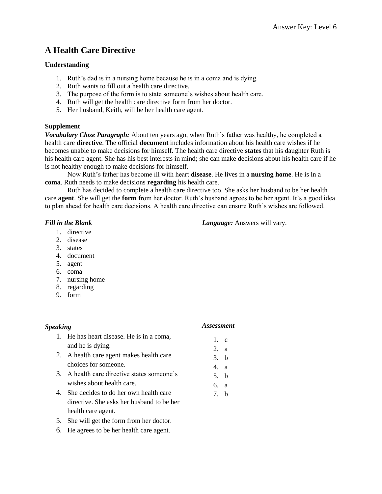# **A Health Care Directive**

# **Understanding**

- 1. Ruth's dad is in a nursing home because he is in a coma and is dying.
- 2. Ruth wants to fill out a health care directive.
- 3. The purpose of the form is to state someone's wishes about health care.
- 4. Ruth will get the health care directive form from her doctor.
- 5. Her husband, Keith, will be her health care agent.

# **Supplement**

*Vocabulary Cloze Paragraph:* About ten years ago, when Ruth's father was healthy, he completed a health care **directive**. The official **document** includes information about his health care wishes if he becomes unable to make decisions for himself. The health care directive **states** that his daughter Ruth is his health care agent. She has his best interests in mind; she can make decisions about his health care if he is not healthy enough to make decisions for himself.

Now Ruth's father has become ill with heart **disease**. He lives in a **nursing home**. He is in a **coma**. Ruth needs to make decisions **regarding** his health care.

Ruth has decided to complete a health care directive too. She asks her husband to be her health care **agent**. She will get the **form** from her doctor. Ruth's husband agrees to be her agent. It's a good idea to plan ahead for health care decisions. A health care directive can ensure Ruth's wishes are followed.

# *Fill in the Blank*

- 1. directive
- 2. disease
- 3. states
- 4. document
- 5. agent
- 6. coma
- 7. nursing home
- 8. regarding
- 9. form

# *Speaking*

# *Assessment*

1. c 2. a 3. b 4. a 5. b 6. a 7. b

- 1. He has heart disease. He is in a coma, and he is dying.
- 2. A health care agent makes health care choices for someone.
- 3. A health care directive states someone's wishes about health care.
- 4. She decides to do her own health care directive. She asks her husband to be her health care agent.
- 5. She will get the form from her doctor.
- 6. He agrees to be her health care agent.

# *Language:* Answers will vary.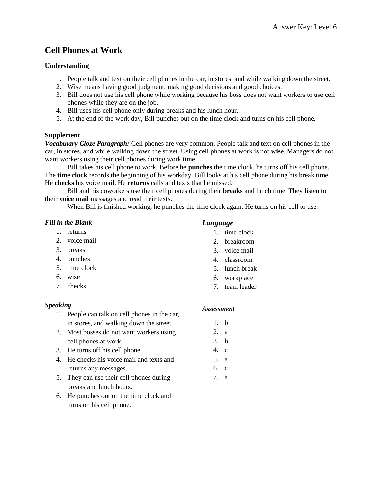# **Cell Phones at Work**

# **Understanding**

- 1. People talk and text on their cell phones in the car, in stores, and while walking down the street.
- 2. Wise means having good judgment, making good decisions and good choices.
- 3. Bill does not use his cell phone while working because his boss does not want workers to use cell phones while they are on the job.
- 4. Bill uses his cell phone only during breaks and his lunch hour.
- 5. At the end of the work day, Bill punches out on the time clock and turns on his cell phone.

# **Supplement**

*Vocabulary Cloze Paragraph:* Cell phones are very common. People talk and text on cell phones in the car, in stores, and while walking down the street. Using cell phones at work is not **wise**. Managers do not want workers using their cell phones during work time.

Bill takes his cell phone to work. Before he **punches** the time clock, he turns off his cell phone. The **time clock** records the beginning of his workday. Bill looks at his cell phone during his break time. He **checks** his voice mail. He **returns** calls and texts that he missed.

Bill and his coworkers use their cell phones during their **breaks** and lunch time. They listen to their **voice mail** messages and read their texts.

When Bill is finished working, he punches the time clock again. He turns on his cell to use.

# *Fill in the Blank*

- 1. returns
- 2. voice mail
- 3. breaks
- 4. punches
- 5. time clock
- 6. wise
- 7. checks

# *Speaking*

- 1. People can talk on cell phones in the car, in stores, and walking down the street.
- 2. Most bosses do not want workers using cell phones at work.
- 3. He turns off his cell phone.
- 4. He checks his voice mail and texts and returns any messages.
- 5. They can use their cell phones during breaks and lunch hours.
- 6. He punches out on the time clock and turns on his cell phone.

# *Language*

- 1. time clock
- 2. breakroom
- 3. voice mail
- 4. classroom
- 5. lunch break
- 6. workplace
- 7. team leader

# *Assessment*

1. b 2. a

- 3. b
- 4. c
- 5. a
- 6. c
- 7. a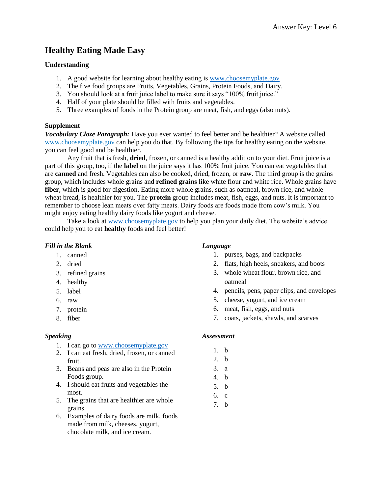# **Healthy Eating Made Easy**

### **Understanding**

- 1. A good website for learning about healthy eating is [www.choosemyplate.gov](http://www.choosemyplate.gov/)
- 2. The five food groups are Fruits, Vegetables, Grains, Protein Foods, and Dairy.
- 3. You should look at a fruit juice label to make sure it says "100% fruit juice."
- 4. Half of your plate should be filled with fruits and vegetables.
- 5. Three examples of foods in the Protein group are meat, fish, and eggs (also nuts).

#### **Supplement**

*Vocabulary Cloze Paragraph:* Have you ever wanted to feel better and be healthier? A website called [www.choosemyplate.gov](http://www.choosemyplate.gov/) can help you do that. By following the tips for healthy eating on the website, you can feel good and be healthier.

Any fruit that is fresh, **dried**, frozen, or canned is a healthy addition to your diet. Fruit juice is a part of this group, too, if the **label** on the juice says it has 100% fruit juice. You can eat vegetables that are **canned** and fresh. Vegetables can also be cooked, dried, frozen, or **raw**. The third group is the grains group, which includes whole grains and **refined grains** like white flour and white rice. Whole grains have **fiber**, which is good for digestion. Eating more whole grains, such as oatmeal, brown rice, and whole wheat bread, is healthier for you. The **protein** group includes meat, fish, eggs, and nuts. It is important to remember to choose lean meats over fatty meats. Dairy foods are foods made from cow's milk. You might enjoy eating healthy dairy foods like yogurt and cheese.

Take a look at [www.choosemyplate.gov](http://www.choosemyplate.gov/) to help you plan your daily diet. The website's advice could help you to eat **healthy** foods and feel better!

### *Fill in the Blank*

- 1. canned
- 2. dried
- 3. refined grains
- 4. healthy
- 5. label
- 6. raw
- 7. protein
- 8. fiber

# *Speaking*

- 1. I can go to [www.choosemyplate.gov](http://www.choosemyplate.gov/)
- 2. I can eat fresh, dried, frozen, or canned fruit.
- 3. Beans and peas are also in the Protein Foods group.
- 4. I should eat fruits and vegetables the most.
- 5. The grains that are healthier are whole grains.
- 6. Examples of dairy foods are milk, foods made from milk, cheeses, yogurt, chocolate milk, and ice cream.

#### *Language*

- 1. purses, bags, and backpacks
- 2. flats, high heels, sneakers, and boots
- 3. whole wheat flour, brown rice, and oatmeal
- 4. pencils, pens, paper clips, and envelopes
- 5. cheese, yogurt, and ice cream
- 6. meat, fish, eggs, and nuts
- 7. coats, jackets, shawls, and scarves

- 1. b
- 2. b
- 3. a
- 4. b
- 5. b
- 6. c
- 7. b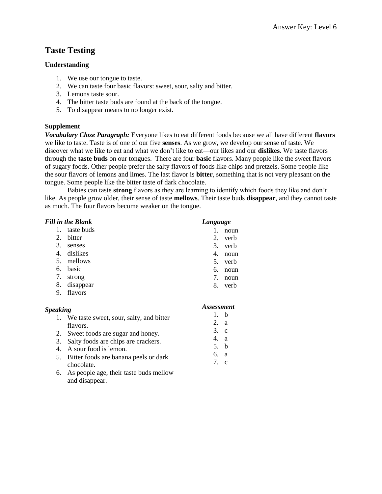# **Taste Testing**

#### **Understanding**

- 1. We use our tongue to taste.
- 2. We can taste four basic flavors: sweet, sour, salty and bitter.
- 3. Lemons taste sour.
- 4. The bitter taste buds are found at the back of the tongue.
- 5. To disappear means to no longer exist.

#### **Supplement**

*Vocabulary Cloze Paragraph:* Everyone likes to eat different foods because we all have different **flavors** we like to taste. Taste is of one of our five **senses**. As we grow, we develop our sense of taste. We discover what we like to eat and what we don't like to eat—our likes and our **dislikes**. We taste flavors through the **taste buds** on our tongues. There are four **basic** flavors. Many people like the sweet flavors of sugary foods. Other people prefer the salty flavors of foods like chips and pretzels. Some people like the sour flavors of lemons and limes. The last flavor is **bitter**, something that is not very pleasant on the tongue. Some people like the bitter taste of dark chocolate.

Babies can taste **strong** flavors as they are learning to identify which foods they like and don't like. As people grow older, their sense of taste **mellows**. Their taste buds **disappear**, and they cannot taste as much. The four flavors become weaker on the tongue.

| <b>Fill in the Blank</b> |            | Language                  |
|--------------------------|------------|---------------------------|
| 1.                       | taste buds | noun                      |
| 2.                       | bitter     | 2.<br>verb                |
| 3.                       | senses     | 3.<br>verb                |
| 4.                       | dislikes   | 4.<br>noun                |
| 5.                       | mellows    | 5.<br>verb                |
| 6.                       | basic      | 6.<br>noun                |
| 7.                       | strong     | 7.<br>noun                |
| 8.                       | disappear  | 8.<br>verb                |
| 9.                       | flavors    |                           |
| <b>Speaking</b>          |            | <i><b>Assessment</b></i>  |
|                          |            | $\mathbf{1}$ $\mathbf{1}$ |

| 1. We taste sweet, sour, salty, and bitter |             | h   |
|--------------------------------------------|-------------|-----|
| flavors.                                   | $2_{-}$     | - a |
| 2. Sweet foods are sugar and honey.        | $3$ . c     |     |
| 3. Salty foods are chips are crackers.     | 4. a        |     |
| 4. A sour food is lemon.                   | $5-h$       |     |
| 5. Bitter foods are banana peels or dark   | 6.          | - a |
| chocolate.                                 | $7 \quad c$ |     |
|                                            |             |     |

6. As people age, their taste buds mellow and disappear.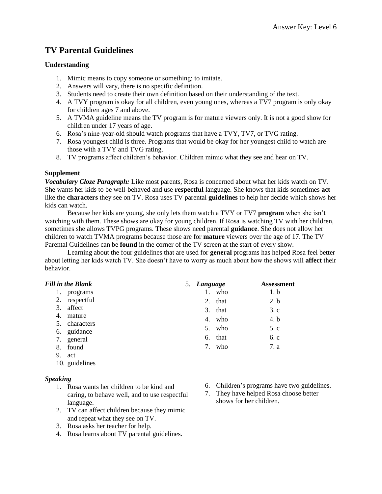# **TV Parental Guidelines**

#### **Understanding**

- 1. Mimic means to copy someone or something; to imitate.
- 2. Answers will vary, there is no specific definition.
- 3. Students need to create their own definition based on their understanding of the text.
- 4. A TVY program is okay for all children, even young ones, whereas a TV7 program is only okay for children ages 7 and above.
- 5. A TVMA guideline means the TV program is for mature viewers only. It is not a good show for children under 17 years of age.
- 6. Rosa's nine-year-old should watch programs that have a TVY, TV7, or TVG rating.
- 7. Rosa youngest child is three. Programs that would be okay for her youngest child to watch are those with a TVY and TVG rating.
- 8. TV programs affect children's behavior. Children mimic what they see and hear on TV.

# **Supplement**

*Vocabulary Cloze Paragraph:* Like most parents, Rosa is concerned about what her kids watch on TV. She wants her kids to be well-behaved and use **respectful** language. She knows that kids sometimes **act** like the **characters** they see on TV. Rosa uses TV parental **guidelines** to help her decide which shows her kids can watch.

Because her kids are young, she only lets them watch a TVY or TV7 **program** when she isn't watching with them. These shows are okay for young children. If Rosa is watching TV with her children, sometimes she allows TVPG programs. These shows need parental **guidance**. She does not allow her children to watch TVMA programs because those are for **mature** viewers over the age of 17. The TV Parental Guidelines can be **found** in the corner of the TV screen at the start of every show.

Learning about the four guidelines that are used for **general** programs has helped Rosa feel better about letting her kids watch TV. She doesn't have to worry as much about how the shows will **affect** their behavior.

| <b>Fill in the Blank</b> |  |  |  |  |
|--------------------------|--|--|--|--|
|--------------------------|--|--|--|--|

- 1. programs
- 2. respectful
- 3. affect
- 4. mature
- 5. characters
- 6. guidance
- 7. general
- 8. found
- 9. act
- 10. guidelines

# *Speaking*

- 1. Rosa wants her children to be kind and caring, to behave well, and to use respectful language.
- 2. TV can affect children because they mimic and repeat what they see on TV.
- 3. Rosa asks her teacher for help.
- 4. Rosa learns about TV parental guidelines.
- 5. *Language* **Assessment** 1. who 1. b 2. that 2. b 3. that 3. c 4. who  $4. b$ 5. who 5. c 6. that 6. c 7. who 7. a
	- 6. Children's programs have two guidelines.
	- 7. They have helped Rosa choose better shows for her children.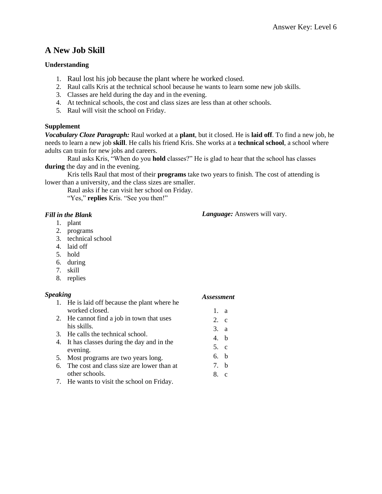# **A New Job Skill**

# **Understanding**

- 1. Raul lost his job because the plant where he worked closed.
- 2. Raul calls Kris at the technical school because he wants to learn some new job skills.
- 3. Classes are held during the day and in the evening.
- 4. At technical schools, the cost and class sizes are less than at other schools.
- 5. Raul will visit the school on Friday.

# **Supplement**

*Vocabulary Cloze Paragraph:* Raul worked at a **plant**, but it closed. He is **laid off**. To find a new job, he needs to learn a new job **skill**. He calls his friend Kris. She works at a **technical school**, a school where adults can train for new jobs and careers.

Raul asks Kris, "When do you **hold** classes?" He is glad to hear that the school has classes **during** the day and in the evening.

Kris tells Raul that most of their **programs** take two years to finish. The cost of attending is lower than a university, and the class sizes are smaller.

Raul asks if he can visit her school on Friday.

"Yes," **replies** Kris. "See you then!"

# *Fill in the Blank*

- 1. plant
- 2. programs
- 3. technical school
- 4. laid off
- 5. hold
- 6. during
- 7. skill
- 8. replies

# *Speaking*

- 1. He is laid off because the plant where he worked closed. 2. He cannot find a job in town that uses his skills. 1. a 2. c 3. a
- 3. He calls the technical school.
- 4. It has classes during the day and in the evening.
- 5. Most programs are two years long.
- 6. The cost and class size are lower than at other schools.
- 7. He wants to visit the school on Friday.

*Language:* Answers will vary.

*Assessment*

4. b 5. c 6. b 7. b 8. c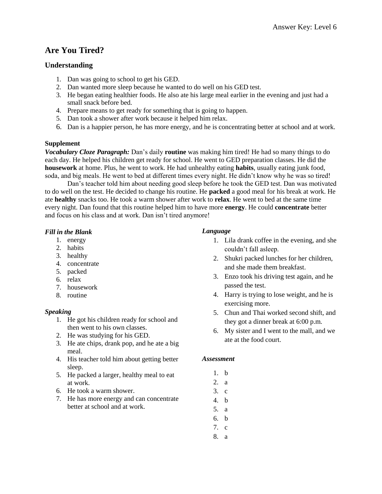# **Are You Tired?**

# **Understanding**

- 1. Dan was going to school to get his GED.
- 2. Dan wanted more sleep because he wanted to do well on his GED test.
- 3. He began eating healthier foods. He also ate his large meal earlier in the evening and just had a small snack before bed.
- 4. Prepare means to get ready for something that is going to happen.
- 5. Dan took a shower after work because it helped him relax.
- 6. Dan is a happier person, he has more energy, and he is concentrating better at school and at work.

# **Supplement**

*Vocabulary Cloze Paragraph:* Dan's daily **routine** was making him tired! He had so many things to do each day. He helped his children get ready for school. He went to GED preparation classes. He did the **housework** at home. Plus, he went to work. He had unhealthy eating **habits**, usually eating junk food, soda, and big meals. He went to bed at different times every night. He didn't know why he was so tired!

Dan's teacher told him about needing good sleep before he took the GED test. Dan was motivated to do well on the test. He decided to change his routine. He **packed** a good meal for his break at work. He ate **healthy** snacks too. He took a warm shower after work to **relax**. He went to bed at the same time every night. Dan found that this routine helped him to have more **energy**. He could **concentrate** better and focus on his class and at work. Dan isn't tired anymore!

# *Fill in the Blank*

- 1. energy
- 2. habits
- 3. healthy
- 4. concentrate
- 5. packed
- 6. relax
- 7. housework
- 8. routine

# *Speaking*

- 1. He got his children ready for school and then went to his own classes.
- 2. He was studying for his GED.
- 3. He ate chips, drank pop, and he ate a big meal.
- 4. His teacher told him about getting better sleep.
- 5. He packed a larger, healthy meal to eat at work.
- 6. He took a warm shower.
- 7. He has more energy and can concentrate better at school and at work.

# *Language*

- 1. Lila drank coffee in the evening, and she couldn't fall asleep.
- 2. Shukri packed lunches for her children, and she made them breakfast.
- 3. Enzo took his driving test again, and he passed the test.
- 4. Harry is trying to lose weight, and he is exercising more.
- 5. Chun and Thai worked second shift, and they got a dinner break at 6:00 p.m.
- 6. My sister and I went to the mall, and we ate at the food court.

- 1. b
- 2. a
- 3. c
- 4. b
- 5. a
- 6. b
- 7. c
- 8. a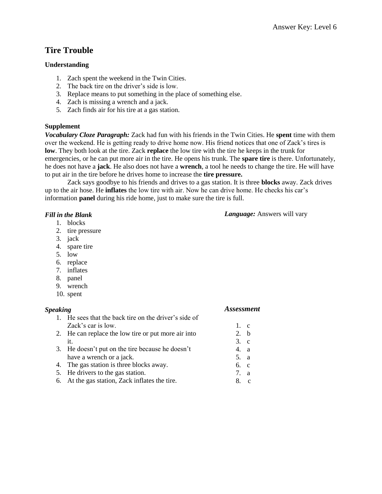# **Tire Trouble**

# **Understanding**

- 1. Zach spent the weekend in the Twin Cities.
- 2. The back tire on the driver's side is low.
- 3. Replace means to put something in the place of something else.
- 4. Zach is missing a wrench and a jack.
- 5. Zach finds air for his tire at a gas station.

#### **Supplement**

*Vocabulary Cloze Paragraph:* Zack had fun with his friends in the Twin Cities. He **spent** time with them over the weekend. He is getting ready to drive home now. His friend notices that one of Zack's tires is **low**. They both look at the tire. Zack **replace** the low tire with the tire he keeps in the trunk for emergencies, or he can put more air in the tire. He opens his trunk. The **spare tire** is there. Unfortunately, he does not have a **jack**. He also does not have a **wrench**, a tool he needs to change the tire. He will have to put air in the tire before he drives home to increase the **tire pressure.**

Zack says goodbye to his friends and drives to a gas station. It is three **blocks** away. Zack drives up to the air hose. He **inflates** the low tire with air. Now he can drive home. He checks his car's information **panel** during his ride home, just to make sure the tire is full.

#### *Fill in the Blank*

- 1. blocks
- 2. tire pressure
- 3. jack
- 4. spare tire
- 5. low
- 6. replace
- 7. inflates
- 8. panel
- 9. wrench
- 10. spent

#### *Speaking*

# *Assessment*

1. c 2. b 3. c 4. a 5. a 6. c 7. a 8. c

*Language:* Answers will vary

- 1. He sees that the back tire on the driver's side of Zack's car is low.
- 2. He can replace the low tire or put more air into it.
- 3. He doesn't put on the tire because he doesn't have a wrench or a jack.
- 4. The gas station is three blocks away.
- 5. He drivers to the gas station.
- 6. At the gas station, Zack inflates the tire.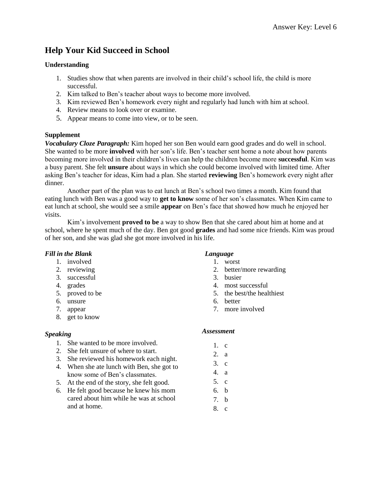# **Help Your Kid Succeed in School**

# **Understanding**

- 1. Studies show that when parents are involved in their child's school life, the child is more successful.
- 2. Kim talked to Ben's teacher about ways to become more involved.
- 3. Kim reviewed Ben's homework every night and regularly had lunch with him at school.
- 4. Review means to look over or examine.
- 5. Appear means to come into view, or to be seen.

#### **Supplement**

*Vocabulary Cloze Paragraph:* Kim hoped her son Ben would earn good grades and do well in school. She wanted to be more **involved** with her son's life. Ben's teacher sent home a note about how parents becoming more involved in their children's lives can help the children become more **successful**. Kim was a busy parent. She felt **unsure** about ways in which she could become involved with limited time. After asking Ben's teacher for ideas, Kim had a plan. She started **reviewing** Ben's homework every night after dinner.

Another part of the plan was to eat lunch at Ben's school two times a month. Kim found that eating lunch with Ben was a good way to **get to know** some of her son's classmates. When Kim came to eat lunch at school, she would see a smile **appear** on Ben's face that showed how much he enjoyed her visits.

Kim's involvement **proved to be** a way to show Ben that she cared about him at home and at school, where he spent much of the day. Ben got good **grades** and had some nice friends. Kim was proud of her son, and she was glad she got more involved in his life.

# *Fill in the Blank*

- 1. involved
- 2. reviewing
- 3. successful
- 4. grades
- 5. proved to be
- 6. unsure
- 7. appear
- 8. get to know

#### *Speaking*

- 1. She wanted to be more involved.
- 2. She felt unsure of where to start.
- 3. She reviewed his homework each night.
- 4. When she ate lunch with Ben, she got to know some of Ben's classmates.
- 5. At the end of the story, she felt good.
- 6. He felt good because he knew his mom cared about him while he was at school and at home.

# *Language*

- 1. worst
- 2. better/more rewarding
- 3. busier
- 4. most successful
- 5. the best/the healthiest
- 6. better
- 7. more involved

- 1. c
- 2. a
- 3. c
- 4. a
- 5. c
- 6. b
- 7. b
- 8. c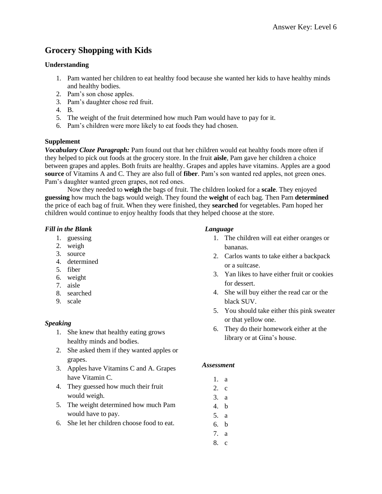# **Grocery Shopping with Kids**

### **Understanding**

- 1. Pam wanted her children to eat healthy food because she wanted her kids to have healthy minds and healthy bodies.
- 2. Pam's son chose apples.
- 3. Pam's daughter chose red fruit.
- 4. B.
- 5. The weight of the fruit determined how much Pam would have to pay for it.
- 6. Pam's children were more likely to eat foods they had chosen.

#### **Supplement**

*Vocabulary Cloze Paragraph:* Pam found out that her children would eat healthy foods more often if they helped to pick out foods at the grocery store. In the fruit **aisle**, Pam gave her children a choice between grapes and apples. Both fruits are healthy. Grapes and apples have vitamins. Apples are a good **source** of Vitamins A and C. They are also full of **fiber**. Pam's son wanted red apples, not green ones. Pam's daughter wanted green grapes, not red ones.

Now they needed to **weigh** the bags of fruit. The children looked for a **scale**. They enjoyed **guessing** how much the bags would weigh. They found the **weight** of each bag. Then Pam **determined** the price of each bag of fruit. When they were finished, they **searched** for vegetables. Pam hoped her children would continue to enjoy healthy foods that they helped choose at the store.

#### *Fill in the Blank*

- 1. guessing
- 2. weigh
- 3. source
- 4. determined
- 5. fiber
- 6. weight
- 7. aisle
- 8. searched
- 9. scale

# *Speaking*

- 1. She knew that healthy eating grows healthy minds and bodies.
- 2. She asked them if they wanted apples or grapes.
- 3. Apples have Vitamins C and A. Grapes have Vitamin C.
- 4. They guessed how much their fruit would weigh.
- 5. The weight determined how much Pam would have to pay.
- 6. She let her children choose food to eat.

# *Language*

- 1. The children will eat either oranges or bananas.
- 2. Carlos wants to take either a backpack or a suitcase.
- 3. Yan likes to have either fruit or cookies for dessert.
- 4. She will buy either the read car or the black SUV.
- 5. You should take either this pink sweater or that yellow one.
- 6. They do their homework either at the library or at Gina's house.

- 1. a
- 2. c
- 3. a
- 4. b
- 5. a
- 6. b
- 7. a
- 8. c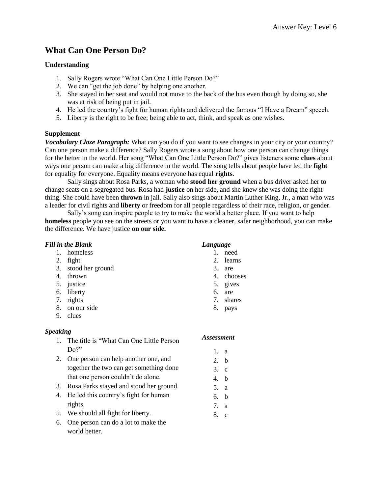# **What Can One Person Do?**

# **Understanding**

- 1. Sally Rogers wrote "What Can One Little Person Do?"
- 2. We can "get the job done" by helping one another.
- 3. She stayed in her seat and would not move to the back of the bus even though by doing so, she was at risk of being put in jail.
- 4. He led the country's fight for human rights and delivered the famous "I Have a Dream" speech.
- 5. Liberty is the right to be free; being able to act, think, and speak as one wishes.

# **Supplement**

*Vocabulary Cloze Paragraph:* What can you do if you want to see changes in your city or your country? Can one person make a difference? Sally Rogers wrote a song about how one person can change things for the better in the world. Her song "What Can One Little Person Do?" gives listeners some **clues** about ways one person can make a big difference in the world. The song tells about people have led the **fight** for equality for everyone. Equality means everyone has equal **rights**.

Sally sings about Rosa Parks, a woman who **stood her ground** when a bus driver asked her to change seats on a segregated bus. Rosa had **justice** on her side, and she knew she was doing the right thing. She could have been **thrown** in jail. Sally also sings about Martin Luther King, Jr., a man who was a leader for civil rights and **liberty** or freedom for all people regardless of their race, religion, or gender.

Sally's song can inspire people to try to make the world a better place. If you want to help **homeless** people you see on the streets or you want to have a cleaner, safer neighborhood, you can make the difference. We have justice **on our side.**

|                 | <b>Fill in the Blank</b>                  | Language                 |              |
|-----------------|-------------------------------------------|--------------------------|--------------|
| $\mathbf{1}$ .  | homeless                                  | $1_{\cdot}$              | need         |
| 2.              | fight                                     | 2.                       | learns       |
| 3.              | stood her ground                          | 3.                       | are          |
| 4.              | thrown                                    | 4.                       | chooses      |
| 5.              | justice                                   | 5.                       | gives        |
| 6.              | liberty                                   | 6.                       | are          |
| 7.              | rights                                    | 7.                       | shares       |
| 8.              | on our side                               | 8.                       | pays         |
| 9.              | clues                                     |                          |              |
| <b>Speaking</b> |                                           |                          |              |
| $\mathbf{1}$ .  | The title is "What Can One Little Person" | <i><b>Assessment</b></i> |              |
|                 | Do?"                                      | 1.                       | a            |
| 2.              | One person can help another one, and      | 2.                       | b            |
|                 | together the two can get something done   | 3.                       | $\mathbf{c}$ |
|                 | that one person couldn't do alone.        | 4.                       | b            |
| 3.              | Rosa Parks stayed and stood her ground.   | 5.                       | a            |
| 4.              | He led this country's fight for human     | 6.                       | b            |
|                 | rights.                                   | 7                        | $\Omega$     |

- 5. We should all fight for liberty.
- 6. One person can do a lot to make the world better.
- 7. a
- 8. c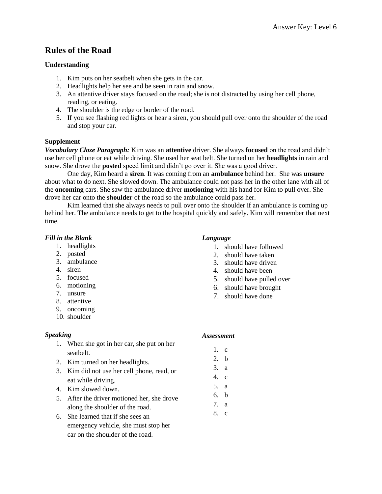# **Rules of the Road**

# **Understanding**

- 1. Kim puts on her seatbelt when she gets in the car.
- 2. Headlights help her see and be seen in rain and snow.
- 3. An attentive driver stays focused on the road; she is not distracted by using her cell phone, reading, or eating.
- 4. The shoulder is the edge or border of the road.
- 5. If you see flashing red lights or hear a siren, you should pull over onto the shoulder of the road and stop your car.

# **Supplement**

*Vocabulary Cloze Paragraph:* Kim was an **attentive** driver. She always **focused** on the road and didn't use her cell phone or eat while driving. She used her seat belt. She turned on her **headlights** in rain and snow. She drove the **posted** speed limit and didn't go over it. She was a good driver.

One day, Kim heard a **siren**. It was coming from an **ambulance** behind her. She was **unsure** about what to do next. She slowed down. The ambulance could not pass her in the other lane with all of the **oncoming** cars. She saw the ambulance driver **motioning** with his hand for Kim to pull over. She drove her car onto the **shoulder** of the road so the ambulance could pass her.

Kim learned that she always needs to pull over onto the shoulder if an ambulance is coming up behind her. The ambulance needs to get to the hospital quickly and safely. Kim will remember that next time.

# *Fill in the Blank*

- 1. headlights
- 2. posted
- 3. ambulance
- 4. siren
- 5. focused
- 6. motioning
- 7. unsure
- 8. attentive
- 9. oncoming
- 10. shoulder

# *Speaking*

- 1. When she got in her car, she put on her seatbelt.
- 2. Kim turned on her headlights.
- 3. Kim did not use her cell phone, read, or eat while driving.
- 4. Kim slowed down.
- 5. After the driver motioned her, she drove along the shoulder of the road.
- 6. She learned that if she sees an emergency vehicle, she must stop her car on the shoulder of the road.

# *Language*

- 1. should have followed
- 2. should have taken
- 3. should have driven
- 4. should have been
- 5. should have pulled over
- 6. should have brought
- 7. should have done

- 1. c
- 2. b
- 3. a
- 4. c
- 5. a
- 6. b
- 7. a
- 8. c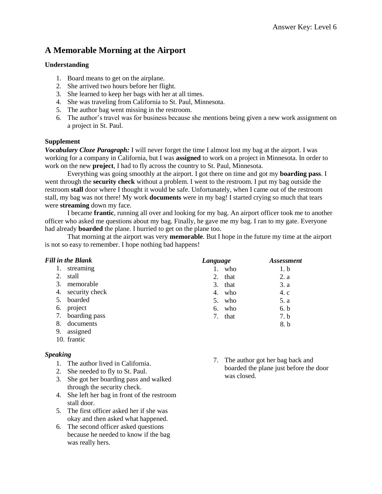# **A Memorable Morning at the Airport**

#### **Understanding**

- 1. Board means to get on the airplane.
- 2. She arrived two hours before her flight.
- 3. She learned to keep her bags with her at all times.
- 4. She was traveling from California to St. Paul, Minnesota.
- 5. The author bag went missing in the restroom.
- 6. The author's travel was for business because she mentions being given a new work assignment on a project in St. Paul.

#### **Supplement**

*Vocabulary Cloze Paragraph:* I will never forget the time I almost lost my bag at the airport. I was working for a company in California, but I was **assigned** to work on a project in Minnesota. In order to work on the new **project**, I had to fly across the country to St. Paul, Minnesota.

Everything was going smoothly at the airport. I got there on time and got my **boarding pass**. I went through the **security check** without a problem. I went to the restroom. I put my bag outside the restroom **stall** door where I thought it would be safe. Unfortunately, when I came out of the restroom stall, my bag was not there! My work **documents** were in my bag! I started crying so much that tears were **streaming** down my face.

I became **frantic**, running all over and looking for my bag. An airport officer took me to another officer who asked me questions about my bag. Finally, he gave me my bag. I ran to my gate. Everyone had already **boarded** the plane. I hurried to get on the plane too.

That morning at the airport was very **memorable**. But I hope in the future my time at the airport is not so easy to remember. I hope nothing bad happens!

| <b>Fill in the Blank</b> | Language   | <b>Assessment</b> |
|--------------------------|------------|-------------------|
| streaming                | who        | 1. b              |
| 2.<br>stall              | that<br>2. | 2. a              |
| 3.<br>memorable          | 3.<br>that | 3. a              |
| 4. security check        | who<br>4.  | 4. c              |
| boarded<br>5.            | who<br>5.  | 5. a              |
| project<br>6.            | who<br>6.  | 6. b              |
| 7. boarding pass         | that       | 7.b               |
| documents<br>8.          |            | 8.b               |
| 9.<br>assigned           |            |                   |

10. frantic

# *Speaking*

- 1. The author lived in California.
- 2. She needed to fly to St. Paul.
- 3. She got her boarding pass and walked through the security check.
- 4. She left her bag in front of the restroom stall door.
- 5. The first officer asked her if she was okay and then asked what happened.
- 6. The second officer asked questions because he needed to know if the bag was really hers.

7. The author got her bag back and boarded the plane just before the door was closed.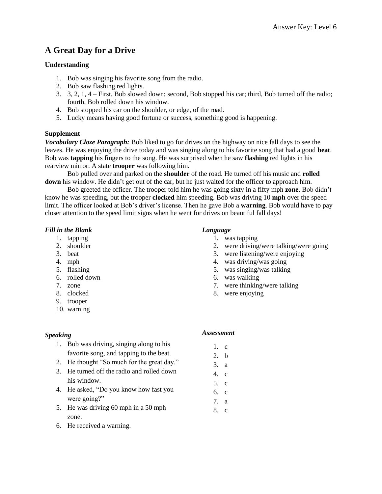# **A Great Day for a Drive**

# **Understanding**

- 1. Bob was singing his favorite song from the radio.
- 2. Bob saw flashing red lights.
- 3. 3, 2, 1, 4 First, Bob slowed down; second, Bob stopped his car; third, Bob turned off the radio; fourth, Bob rolled down his window.
- 4. Bob stopped his car on the shoulder, or edge, of the road.
- 5. Lucky means having good fortune or success, something good is happening.

# **Supplement**

*Vocabulary Cloze Paragraph:* Bob liked to go for drives on the highway on nice fall days to see the leaves. He was enjoying the drive today and was singing along to his favorite song that had a good **beat**. Bob was **tapping** his fingers to the song. He was surprised when he saw **flashing** red lights in his rearview mirror. A state **trooper** was following him.

Bob pulled over and parked on the **shoulder** of the road. He turned off his music and **rolled down** his window. He didn't get out of the car, but he just waited for the officer to approach him.

Bob greeted the officer. The trooper told him he was going sixty in a fifty mph **zone**. Bob didn't know he was speeding, but the trooper **clocked** him speeding. Bob was driving 10 **mph** over the speed limit. The officer looked at Bob's driver's license. Then he gave Bob a **warning**. Bob would have to pay closer attention to the speed limit signs when he went for drives on beautiful fall days!

# *Fill in the Blank*

- 1. tapping
- 2. shoulder
- 3. beat
- 4. mph
- 5. flashing
- 6. rolled down
- 7. zone
- 8. clocked
- 9. trooper
- 10. warning

# *Language*

- 1. was tapping
- 2. were driving/were talking/were going
- 3. were listening/were enjoying
- 4. was driving/was going
- 5. was singing/was talking
- 6. was walking
- 7. were thinking/were talking
- 8. were enjoying

# *Speaking*

# 1. Bob was driving, singing along to his

- favorite song, and tapping to the beat.
- 2. He thought "So much for the great day."
- 3. He turned off the radio and rolled down his window.
- 4. He asked, "Do you know how fast you were going?"
- 5. He was driving 60 mph in a 50 mph zone.
- 6. He received a warning.

- 1. c 2. b
- 3. a
- 4. c
- 5. c
- 6. c
- 7. a
- 8. c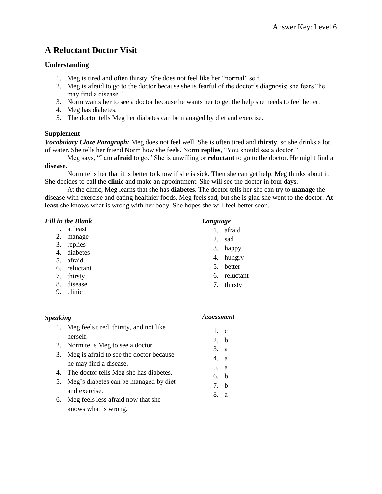# **A Reluctant Doctor Visit**

# **Understanding**

- 1. Meg is tired and often thirsty. She does not feel like her "normal" self.
- 2. Meg is afraid to go to the doctor because she is fearful of the doctor's diagnosis; she fears "he may find a disease."
- 3. Norm wants her to see a doctor because he wants her to get the help she needs to feel better.
- 4. Meg has diabetes.
- 5. The doctor tells Meg her diabetes can be managed by diet and exercise.

# **Supplement**

*Vocabulary Cloze Paragraph:* Meg does not feel well. She is often tired and **thirsty**, so she drinks a lot of water. She tells her friend Norm how she feels. Norm **replies**, "You should see a doctor."

Meg says, "I am **afraid** to go." She is unwilling or **reluctant** to go to the doctor. He might find a **disease**.

Norm tells her that it is better to know if she is sick. Then she can get help. Meg thinks about it. She decides to call the **clinic** and make an appointment. She will see the doctor in four days.

At the clinic, Meg learns that she has **diabetes**. The doctor tells her she can try to **manage** the disease with exercise and eating healthier foods. Meg feels sad, but she is glad she went to the doctor. **At least** she knows what is wrong with her body. She hopes she will feel better soon.

# *Fill in the Blank*

- 1. at least
- 2. manage
- 3. replies
- 4. diabetes
- 5. afraid
- 6. reluctant
- 7. thirsty
- 8. disease
- 9. clinic

# *Speaking*

# *Language*

- 1. afraid
- 2. sad
- 3. happy
- 4. hungry
- 5. better
- 6. reluctant
- 7. thirsty
- 1. Meg feels tired, thirsty, and not like herself. 2. Norm tells Meg to see a doctor. 3. Meg is afraid to see the doctor because he may find a disease. 4. The doctor tells Meg she has diabetes. 5. Meg's diabetes can be managed by diet and exercise. 1. c 2. b 3. a 4. a 5. a 6. b 7. b 8. a
- 6. Meg feels less afraid now that she knows what is wrong.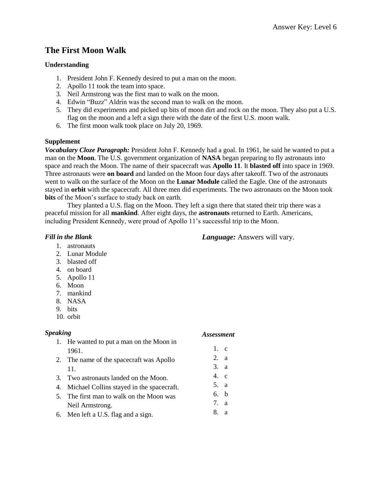# **The First Moon Walk**

# **Understanding**

- 1. President John F. Kennedy desired to put a man on the moon.
- 2. Apollo 11 took the team into space.
- 3. Neil Armstrong was the first man to walk on the moon.
- 4. Edwin "Buzz" Aldrin was the second man to walk on the moon.
- 5. They did experiments and picked up bits of moon dirt and rock on the moon. They also put a U.S. flag on the moon and a left a sign there with the date of the first U.S. moon walk.
- 6. The first moon walk took place on July 20, 1969.

#### **Supplement**

*Vocabulary Cloze Paragraph:* President John F. Kennedy had a goal. In 1961, he said he wanted to put a man on the **Moon**. The U.S. government organization of **NASA** began preparing to fly astronauts into space and reach the Moon. The name of their spacecraft was **Apollo 11**. It **blasted off** into space in 1969. Three astronauts were **on board** and landed on the Moon four days after takeoff. Two of the astronauts went to walk on the surface of the Moon on the **Lunar Module** called the Eagle. One of the astronauts stayed in **orbit** with the spacecraft. All three men did experiments. The two astronauts on the Moon took **bits** of the Moon's surface to study back on earth.

They planted a U.S. flag on the Moon. They left a sign there that stated their trip there was a peaceful mission for all **mankind**. After eight days, the **astronauts** returned to Earth. Americans, including President Kennedy, were proud of Apollo 11's successful trip to the Moon.

# *Fill in the Blank*

- 1. astronauts
- 2. Lunar Module
- 3. blasted off
- 4. on board
- 5. Apollo 11
- 6. Moon
- 7. mankind
- 8. NASA
- 9. bits
- 10. orbit

# *Speaking*

# *Assessment*

*Language:* Answers will vary.

- 1. He wanted to put a man on the Moon in 1961.
- 2. The name of the spacecraft was Apollo 11.
- 3. Two astronauts landed on the Moon.
- 4. Michael Collins stayed in the spacecraft.
- 5. The first man to walk on the Moon was Neil Armstrong.
- 6. Men left a U.S. flag and a sign.
- 1. c
- 2. a
- 3. a
- 4. c
- 5. a
- 6. b 7. a
- 8. a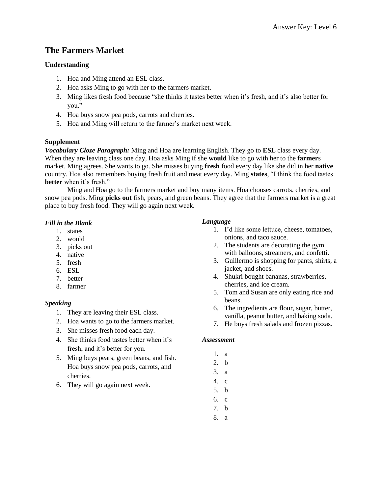# **The Farmers Market**

# **Understanding**

- 1. Hoa and Ming attend an ESL class.
- 2. Hoa asks Ming to go with her to the farmers market.
- 3. Ming likes fresh food because "she thinks it tastes better when it's fresh, and it's also better for you."
- 4. Hoa buys snow pea pods, carrots and cherries.
- 5. Hoa and Ming will return to the farmer's market next week.

#### **Supplement**

*Vocabulary Cloze Paragraph:* Ming and Hoa are learning English. They go to **ESL** class every day. When they are leaving class one day, Hoa asks Ming if she **would** like to go with her to the **farmer**s market. Ming agrees. She wants to go. She misses buying **fresh** food every day like she did in her **native** country. Hoa also remembers buying fresh fruit and meat every day. Ming **states**, "I think the food tastes **better** when it's fresh."

Ming and Hoa go to the farmers market and buy many items. Hoa chooses carrots, cherries, and snow pea pods. Ming **picks out** fish, pears, and green beans. They agree that the farmers market is a great place to buy fresh food. They will go again next week.

#### *Fill in the Blank*

- 1. states
- 2. would
- 3. picks out
- 4. native
- 5. fresh
- 6. ESL
- 7. better
- 8. farmer

# *Speaking*

- 1. They are leaving their ESL class.
- 2. Hoa wants to go to the farmers market.
- 3. She misses fresh food each day.
- 4. She thinks food tastes better when it's fresh, and it's better for you.
- 5. Ming buys pears, green beans, and fish. Hoa buys snow pea pods, carrots, and cherries.
- 6. They will go again next week.

#### *Language*

- 1. I'd like some lettuce, cheese, tomatoes, onions, and taco sauce.
- 2. The students are decorating the gym with balloons, streamers, and confetti.
- 3. Guillermo is shopping for pants, shirts, a jacket, and shoes.
- 4. Shukri bought bananas, strawberries, cherries, and ice cream.
- 5. Tom and Susan are only eating rice and beans.
- 6. The ingredients are flour, sugar, butter, vanilla, peanut butter, and baking soda.
- 7. He buys fresh salads and frozen pizzas.

- 1. a
- 2. b
- 3. a
- 4. c
- 5. b
- 6. c
- 7. b
- 8. a